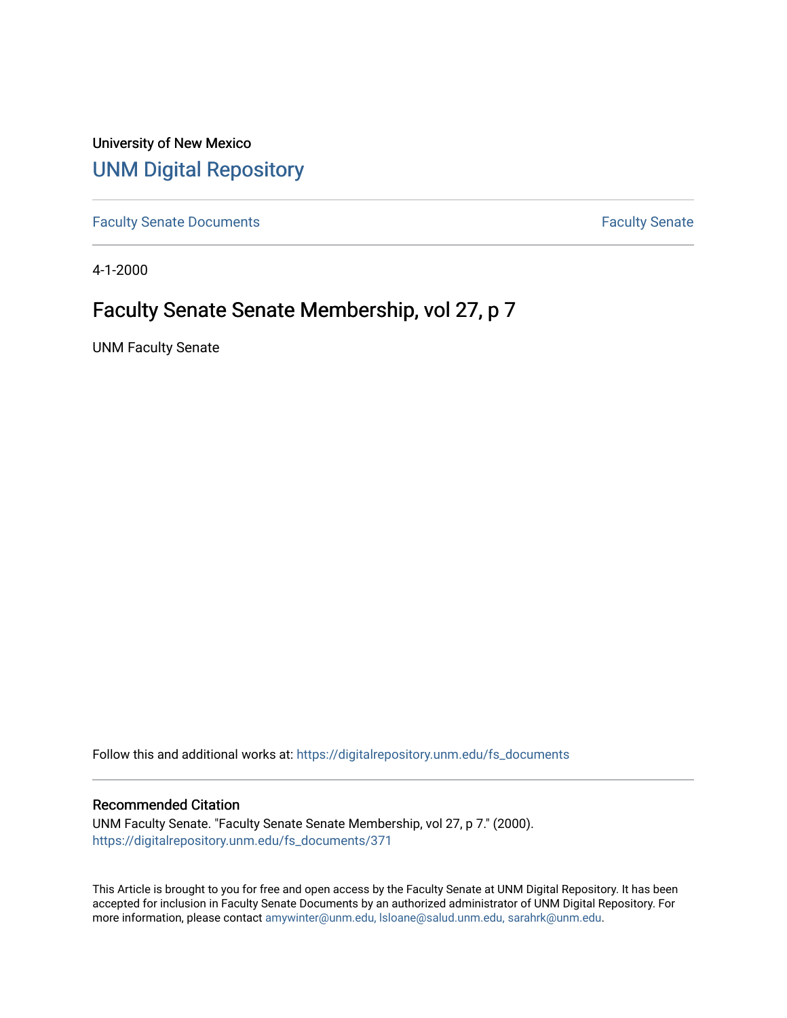University of New Mexico [UNM Digital Repository](https://digitalrepository.unm.edu/) 

[Faculty Senate Documents](https://digitalrepository.unm.edu/fs_documents) **Faculty** Senate **Faculty** Senate

4-1-2000

## Faculty Senate Senate Membership, vol 27, p 7

UNM Faculty Senate

Follow this and additional works at: [https://digitalrepository.unm.edu/fs\\_documents](https://digitalrepository.unm.edu/fs_documents?utm_source=digitalrepository.unm.edu%2Ffs_documents%2F371&utm_medium=PDF&utm_campaign=PDFCoverPages)

#### Recommended Citation

UNM Faculty Senate. "Faculty Senate Senate Membership, vol 27, p 7." (2000). [https://digitalrepository.unm.edu/fs\\_documents/371](https://digitalrepository.unm.edu/fs_documents/371?utm_source=digitalrepository.unm.edu%2Ffs_documents%2F371&utm_medium=PDF&utm_campaign=PDFCoverPages)

This Article is brought to you for free and open access by the Faculty Senate at UNM Digital Repository. It has been accepted for inclusion in Faculty Senate Documents by an authorized administrator of UNM Digital Repository. For more information, please contact [amywinter@unm.edu, lsloane@salud.unm.edu, sarahrk@unm.edu](mailto:amywinter@unm.edu,%20lsloane@salud.unm.edu,%20sarahrk@unm.edu).